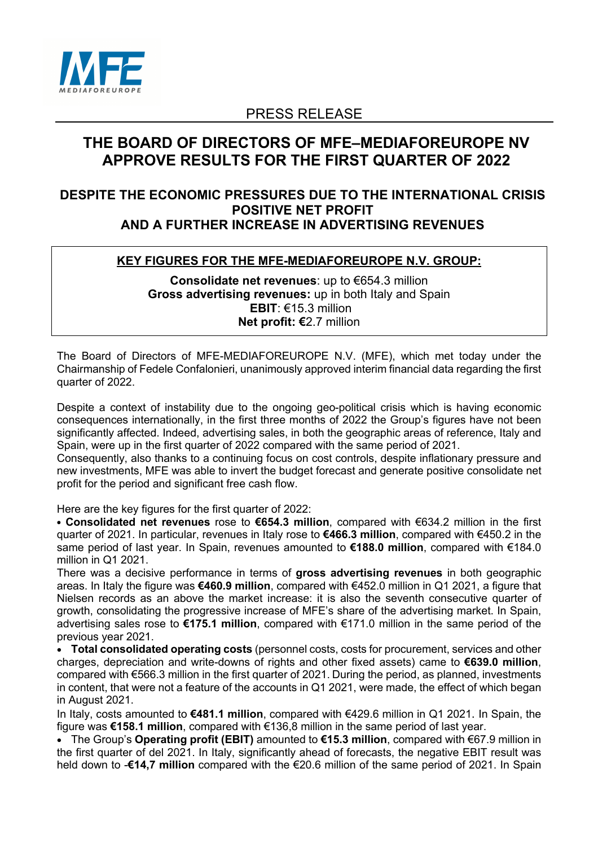

# PRESS RELEASE

# **THE BOARD OF DIRECTORS OF MFE–MEDIAFOREUROPE NV APPROVE RESULTS FOR THE FIRST QUARTER OF 2022**

## **DESPITE THE ECONOMIC PRESSURES DUE TO THE INTERNATIONAL CRISIS POSITIVE NET PROFIT AND A FURTHER INCREASE IN ADVERTISING REVENUES**

## **KEY FIGURES FOR THE MFE-MEDIAFOREUROPE N.V. GROUP:**

**Consolidate net revenues**: up to €654.3 million **Gross advertising revenues:** up in both Italy and Spain **EBIT**: €15.3 million **Net profit: €**2.7 million

The Board of Directors of MFE-MEDIAFOREUROPE N.V. (MFE), which met today under the Chairmanship of Fedele Confalonieri, unanimously approved interim financial data regarding the first quarter of 2022.

Despite a context of instability due to the ongoing geo-political crisis which is having economic consequences internationally, in the first three months of 2022 the Group's figures have not been significantly affected. Indeed, advertising sales, in both the geographic areas of reference, Italy and Spain, were up in the first quarter of 2022 compared with the same period of 2021.

Consequently, also thanks to a continuing focus on cost controls, despite inflationary pressure and new investments, MFE was able to invert the budget forecast and generate positive consolidate net profit for the period and significant free cash flow.

Here are the key figures for the first quarter of 2022:

• **Consolidated net revenues** rose to **€654.3 million**, compared with €634.2 million in the first quarter of 2021. In particular, revenues in Italy rose to **€466.3 million**, compared with €450.2 in the same period of last year. In Spain, revenues amounted to **€188.0 million**, compared with €184.0 million in Q1 2021.

There was a decisive performance in terms of **gross advertising revenues** in both geographic areas. In Italy the figure was **€460.9 million**, compared with €452.0 million in Q1 2021, a figure that Nielsen records as an above the market increase: it is also the seventh consecutive quarter of growth, consolidating the progressive increase of MFE's share of the advertising market. In Spain, advertising sales rose to **€175.1 million**, compared with €171.0 million in the same period of the previous year 2021.

• **Total consolidated operating costs** (personnel costs, costs for procurement, services and other charges, depreciation and write-downs of rights and other fixed assets) came to **€639.0 million**, compared with €566.3 million in the first quarter of 2021. During the period, as planned, investments in content, that were not a feature of the accounts in Q1 2021, were made, the effect of which began in August 2021.

In Italy, costs amounted to **€481.1 million**, compared with €429.6 million in Q1 2021. In Spain, the figure was **€158.1 million**, compared with €136,8 million in the same period of last year.

• The Group's **Operating profit (EBIT)** amounted to **€15.3 million**, compared with €67.9 million in the first quarter of del 2021. In Italy, significantly ahead of forecasts, the negative EBIT result was held down to -**€14,7 million** compared with the €20.6 million of the same period of 2021. In Spain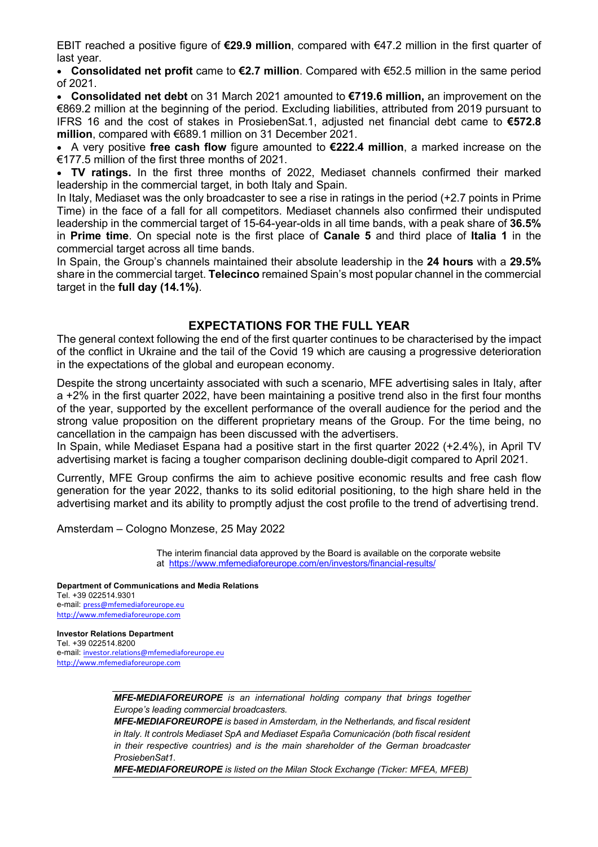EBIT reached a positive figure of **€29.9 million**, compared with €47.2 million in the first quarter of last year.

• **Consolidated net profit** came to **€2.7 million**. Compared with €52.5 million in the same period of 2021.

• **Consolidated net debt** on 31 March 2021 amounted to **€719.6 million,** an improvement on the €869.2 million at the beginning of the period. Excluding liabilities, attributed from 2019 pursuant to IFRS 16 and the cost of stakes in ProsiebenSat.1, adjusted net financial debt came to **€572.8 million**, compared with €689.1 million on 31 December 2021.

• A very positive **free cash flow** figure amounted to **€222.4 million**, a marked increase on the €177.5 million of the first three months of 2021.

• **TV ratings.** In the first three months of 2022, Mediaset channels confirmed their marked leadership in the commercial target, in both Italy and Spain.

In Italy, Mediaset was the only broadcaster to see a rise in ratings in the period (+2.7 points in Prime Time) in the face of a fall for all competitors. Mediaset channels also confirmed their undisputed leadership in the commercial target of 15-64-year-olds in all time bands, with a peak share of **36.5%**  in **Prime time**. On special note is the first place of **Canale 5** and third place of **Italia 1** in the commercial target across all time bands.

In Spain, the Group's channels maintained their absolute leadership in the **24 hours** with a **29.5%** share in the commercial target. **Telecinco** remained Spain's most popular channel in the commercial target in the **full day (14.1%)**.

## **EXPECTATIONS FOR THE FULL YEAR**

The general context following the end of the first quarter continues to be characterised by the impact of the conflict in Ukraine and the tail of the Covid 19 which are causing a progressive deterioration in the expectations of the global and european economy.

Despite the strong uncertainty associated with such a scenario, MFE advertising sales in Italy, after a +2% in the first quarter 2022, have been maintaining a positive trend also in the first four months of the year, supported by the excellent performance of the overall audience for the period and the strong value proposition on the different proprietary means of the Group. For the time being, no cancellation in the campaign has been discussed with the advertisers.

In Spain, while Mediaset Espana had a positive start in the first quarter 2022 (+2.4%), in April TV advertising market is facing a tougher comparison declining double-digit compared to April 2021.

Currently, MFE Group confirms the aim to achieve positive economic results and free cash flow generation for the year 2022, thanks to its solid editorial positioning, to the high share held in the advertising market and its ability to promptly adjust the cost profile to the trend of advertising trend.

Amsterdam – Cologno Monzese, 25 May 2022

The interim financial data approved by the Board is available on the corporate website at https://www.mfemediaforeurope.com/en/investors/financial-results/

**Department of Communications and Media Relations** Tel. +39 022514.9301 e-mail: press@mfemediaforeurope.eu http://www.mfemediaforeurope.com

**Investor Relations Department** Tel. +39 022514.8200 e-mail: investor.relations@mfemediaforeurope.eu http://www.mfemediaforeurope.com

> *MFE-MEDIAFOREUROPE is an international holding company that brings together Europe's leading commercial broadcasters.*

> *MFE-MEDIAFOREUROPE is based in Amsterdam, in the Netherlands, and fiscal resident in Italy. It controls Mediaset SpA and Mediaset España Comunicación (both fiscal resident in their respective countries) and is the main shareholder of the German broadcaster ProsiebenSat1.*

> *MFE-MEDIAFOREUROPE is listed on the Milan Stock Exchange (Ticker: MFEA, MFEB)*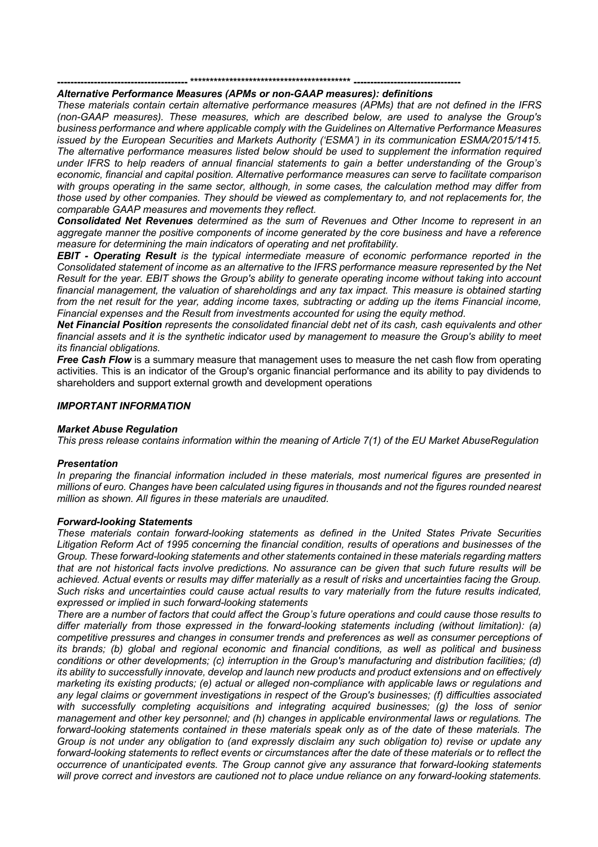### **--------------------------------------- \*\*\*\*\*\*\*\*\*\*\*\*\*\*\*\*\*\*\*\*\*\*\*\*\*\*\*\*\*\*\*\*\*\*\*\*\*\*\*\*\* --------------------------------**

### *Alternative Performance Measures (APMs or non-GAAP measures): definitions*

*These materials contain certain alternative performance measures (APMs) that are not defined in the IFRS (non-GAAP measures). These measures, which are described below, are used to analyse the Group's business performance and where applicable comply with the Guidelines on Alternative Performance Measures issued by the European Securities and Markets Authority ('ESMA') in its communication ESMA/2015/1415. The alternative performance measures listed below should be used to supplement the information required under IFRS to help readers of annual financial statements to gain a better understanding of the Group's economic, financial and capital position. Alternative performance measures can serve to facilitate comparison with groups operating in the same sector, although, in some cases, the calculation method may differ from those used by other companies. They should be viewed as complementary to, and not replacements for, the comparable GAAP measures and movements they reflect.*

*Consolidated Net Revenues determined as the sum of Revenues and Other Income to represent in an aggregate manner the positive components of income generated by the core business and have a reference measure for determining the main indicators of operating and net profitability.*

*EBIT - Operating Result is the typical intermediate measure of economic performance reported in the Consolidated statement of income as an alternative to the IFRS performance measure represented by the Net Result for the year. EBIT shows the Group's ability to generate operating income without taking into account financial management, the valuation of shareholdings and any tax impact. This measure is obtained starting from the net result for the year, adding income taxes, subtracting or adding up the items Financial income, Financial expenses and the Result from investments accounted for using the equity method.*

*Net Financial Position represents the consolidated financial debt net of its cash, cash equivalents and other financial assets and it is the synthetic in*dic*ator used by management to measure the Group's ability to meet its financial obligations.*

*Free Cash Flow* is a summary measure that management uses to measure the net cash flow from operating activities. This is an indicator of the Group's organic financial performance and its ability to pay dividends to shareholders and support external growth and development operations

#### *IMPORTANT INFORMATION*

#### *Market Abuse Regulation*

*This press release contains information within the meaning of Article 7(1) of the EU Market AbuseRegulation*

#### *Presentation*

*In preparing the financial information included in these materials, most numerical figures are presented in millions of euro. Changes have been calculated using figures in thousands and not the figures rounded nearest million as shown. All figures in these materials are unaudited.*

#### *Forward-looking Statements*

*These materials contain forward-looking statements as defined in the United States Private Securities Litigation Reform Act of 1995 concerning the financial condition, results of operations and businesses of the Group. These forward-looking statements and other statements contained in these materials regarding matters that are not historical facts involve predictions. No assurance can be given that such future results will be achieved. Actual events or results may differ materially as a result of risks and uncertainties facing the Group. Such risks and uncertainties could cause actual results to vary materially from the future results indicated, expressed or implied in such forward-looking statements*

*There are a number of factors that could affect the Group's future operations and could cause those results to differ materially from those expressed in the forward-looking statements including (without limitation): (a) competitive pressures and changes in consumer trends and preferences as well as consumer perceptions of its brands; (b) global and regional economic and financial conditions, as well as political and business conditions or other developments; (c) interruption in the Group's manufacturing and distribution facilities; (d) its ability to successfully innovate, develop and launch new products and product extensions and on effectively marketing its existing products; (e) actual or alleged non-compliance with applicable laws or regulations and any legal claims or government investigations in respect of the Group's businesses; (f) difficulties associated with successfully completing acquisitions and integrating acquired businesses; (g) the loss of senior management and other key personnel; and (h) changes in applicable environmental laws or regulations. The forward-looking statements contained in these materials speak only as of the date of these materials. The Group is not under any obligation to (and expressly disclaim any such obligation to) revise or update any forward-looking statements to reflect events or circumstances after the date of these materials or to reflect the occurrence of unanticipated events. The Group cannot give any assurance that forward-looking statements will prove correct and investors are cautioned not to place undue reliance on any forward-looking statements.*